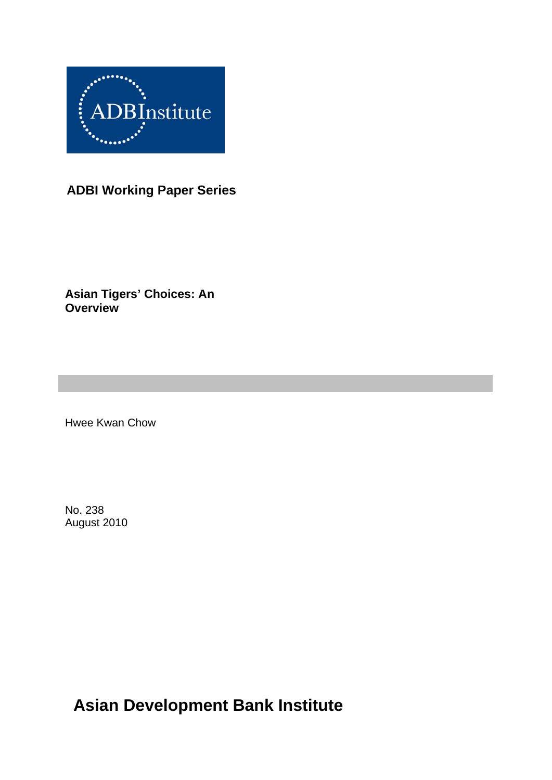

## **ADBI Working Paper Series**

**Asian Tigers' Choices: An Overview** 

Hwee Kwan Chow

No. 238 August 2010

**Asian Development Bank Institute**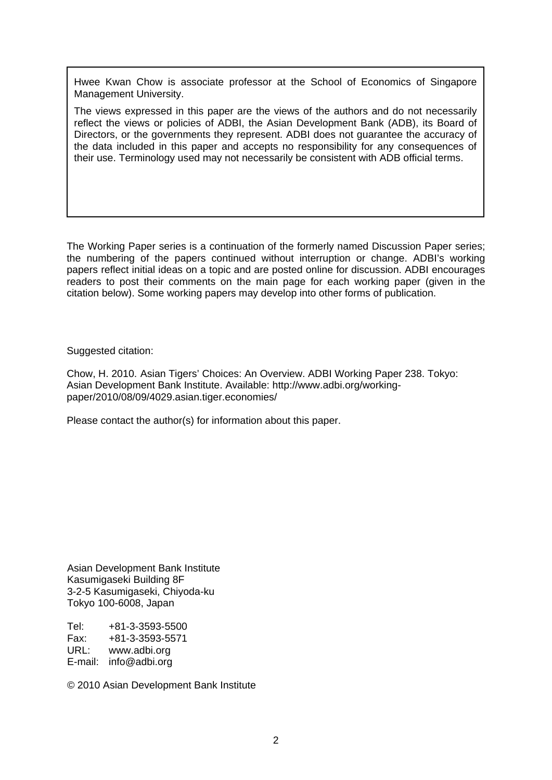Hwee Kwan Chow is associate professor at the School of Economics of Singapore Management University.

The views expressed in this paper are the views of the authors and do not necessarily reflect the views or policies of ADBI, the Asian Development Bank (ADB), its Board of Directors, or the governments they represent. ADBI does not guarantee the accuracy of the data included in this paper and accepts no responsibility for any consequences of their use. Terminology used may not necessarily be consistent with ADB official terms.

The Working Paper series is a continuation of the formerly named Discussion Paper series; the numbering of the papers continued without interruption or change. ADBI's working papers reflect initial ideas on a topic and are posted online for discussion. ADBI encourages readers to post their comments on the main page for each working paper (given in the citation below). Some working papers may develop into other forms of publication.

Suggested citation:

Chow, H. 2010. Asian Tigers' Choices: An Overview. ADBI Working Paper 238. Tokyo: Asian Development Bank Institute. Available: http://www.adbi.org/workingpaper/2010/08/09/4029.asian.tiger.economies/

Please contact the author(s) for information about this paper.

Asian Development Bank Institute Kasumigaseki Building 8F 3-2-5 Kasumigaseki, Chiyoda-ku Tokyo 100-6008, Japan

Tel: +81-3-3593-5500 Fax: +81-3-3593-5571 URL: www.adbi.org E-mail: info@adbi.org

© 2010 Asian Development Bank Institute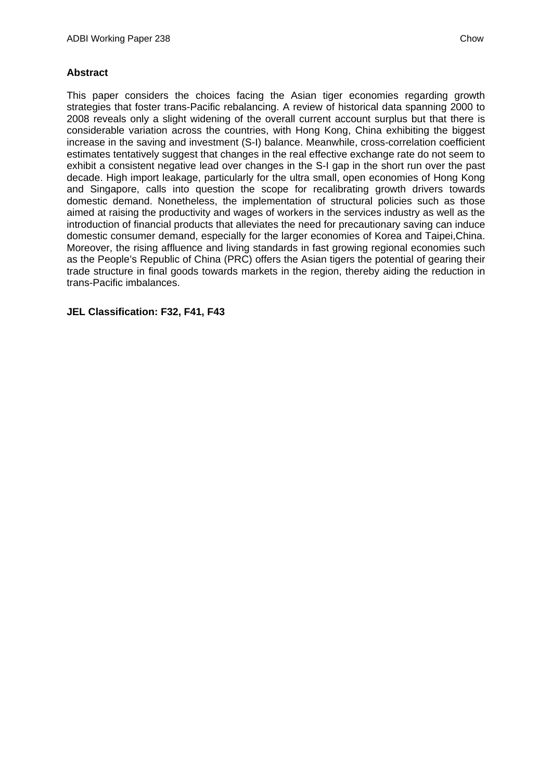### **Abstract**

This paper considers the choices facing the Asian tiger economies regarding growth strategies that foster trans-Pacific rebalancing. A review of historical data spanning 2000 to 2008 reveals only a slight widening of the overall current account surplus but that there is considerable variation across the countries, with Hong Kong, China exhibiting the biggest increase in the saving and investment (S-I) balance. Meanwhile, cross-correlation coefficient estimates tentatively suggest that changes in the real effective exchange rate do not seem to exhibit a consistent negative lead over changes in the S-I gap in the short run over the past decade. High import leakage, particularly for the ultra small, open economies of Hong Kong and Singapore, calls into question the scope for recalibrating growth drivers towards domestic demand. Nonetheless, the implementation of structural policies such as those aimed at raising the productivity and wages of workers in the services industry as well as the introduction of financial products that alleviates the need for precautionary saving can induce domestic consumer demand, especially for the larger economies of Korea and Taipei,China. Moreover, the rising affluence and living standards in fast growing regional economies such as the People's Republic of China (PRC) offers the Asian tigers the potential of gearing their trade structure in final goods towards markets in the region, thereby aiding the reduction in trans-Pacific imbalances.

**JEL Classification: F32, F41, F43**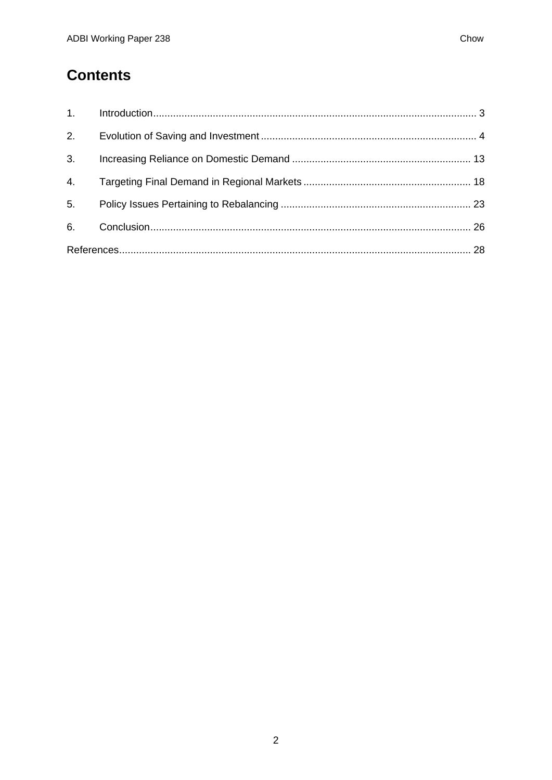# **Contents**

| 2.             |  |  |  |
|----------------|--|--|--|
| 3 <sub>1</sub> |  |  |  |
| 4.             |  |  |  |
| 5.             |  |  |  |
| 6.             |  |  |  |
|                |  |  |  |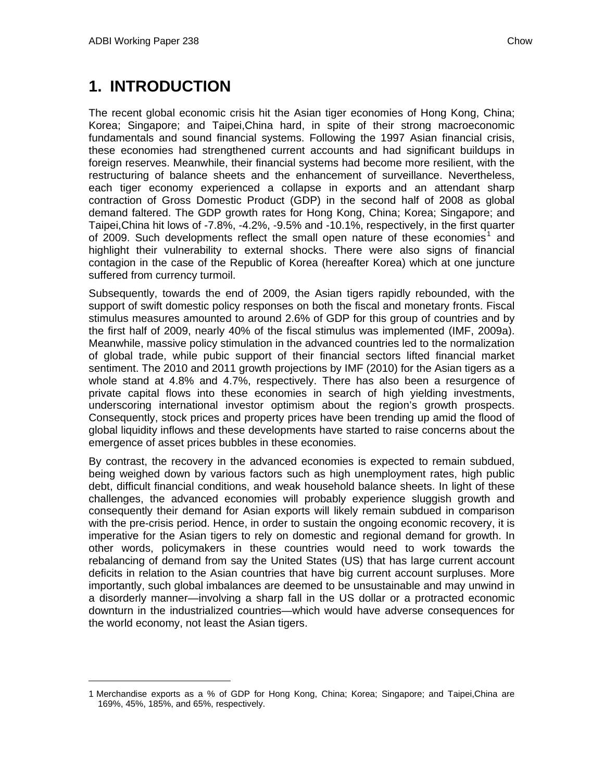# <span id="page-4-1"></span><span id="page-4-0"></span>**1. INTRODUCTION**

The recent global economic crisis hit the Asian tiger economies of Hong Kong, China; Korea; Singapore; and Taipei,China hard, in spite of their strong macroeconomic fundamentals and sound financial systems. Following the 1997 Asian financial crisis, these economies had strengthened current accounts and had significant buildups in foreign reserves. Meanwhile, their financial systems had become more resilient, with the restructuring of balance sheets and the enhancement of surveillance. Nevertheless, each tiger economy experienced a collapse in exports and an attendant sharp contraction of Gross Domestic Product (GDP) in the second half of 2008 as global demand faltered. The GDP growth rates for Hong Kong, China; Korea; Singapore; and Taipei,China hit lows of -7.8%, -4.2%, -9.5% and -10.1%, respectively, in the first quarter of 2009. Such developments reflect the small open nature of these economies<sup>[1](#page-4-1)</sup> and highlight their vulnerability to external shocks. There were also signs of financial contagion in the case of the Republic of Korea (hereafter Korea) which at one juncture suffered from currency turmoil.

Subsequently, towards the end of 2009, the Asian tigers rapidly rebounded, with the support of swift domestic policy responses on both the fiscal and monetary fronts. Fiscal stimulus measures amounted to around 2.6% of GDP for this group of countries and by the first half of 2009, nearly 40% of the fiscal stimulus was implemented (IMF, 2009a). Meanwhile, massive policy stimulation in the advanced countries led to the normalization of global trade, while pubic support of their financial sectors lifted financial market sentiment. The 2010 and 2011 growth projections by IMF (2010) for the Asian tigers as a whole stand at 4.8% and 4.7%, respectively. There has also been a resurgence of private capital flows into these economies in search of high yielding investments, underscoring international investor optimism about the region's growth prospects. Consequently, stock prices and property prices have been trending up amid the flood of global liquidity inflows and these developments have started to raise concerns about the emergence of asset prices bubbles in these economies.

By contrast, the recovery in the advanced economies is expected to remain subdued, being weighed down by various factors such as high unemployment rates, high public debt, difficult financial conditions, and weak household balance sheets. In light of these challenges, the advanced economies will probably experience sluggish growth and consequently their demand for Asian exports will likely remain subdued in comparison with the pre-crisis period. Hence, in order to sustain the ongoing economic recovery, it is imperative for the Asian tigers to rely on domestic and regional demand for growth. In other words, policymakers in these countries would need to work towards the rebalancing of demand from say the United States (US) that has large current account deficits in relation to the Asian countries that have big current account surpluses. More importantly, such global imbalances are deemed to be unsustainable and may unwind in a disorderly manner—involving a sharp fall in the US dollar or a protracted economic downturn in the industrialized countries—which would have adverse consequences for the world economy, not least the Asian tigers.

<sup>1</sup> Merchandise exports as a % of GDP for Hong Kong, China; Korea; Singapore; and Taipei,China are 169%, 45%, 185%, and 65%, respectively.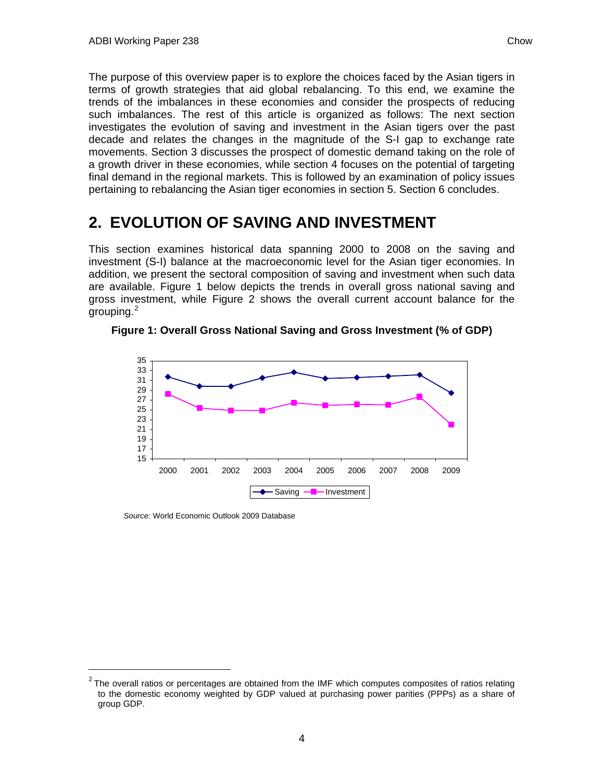<span id="page-5-1"></span><span id="page-5-0"></span>The purpose of this overview paper is to explore the choices faced by the Asian tigers in terms of growth strategies that aid global rebalancing. To this end, we examine the trends of the imbalances in these economies and consider the prospects of reducing such imbalances. The rest of this article is organized as follows: The next section investigates the evolution of saving and investment in the Asian tigers over the past decade and relates the changes in the magnitude of the S-I gap to exchange rate movements. Section 3 discusses the prospect of domestic demand taking on the role of a growth driver in these economies, while section 4 focuses on the potential of targeting final demand in the regional markets. This is followed by an examination of policy issues pertaining to rebalancing the Asian tiger economies in section 5. Section 6 concludes.

# **2. EVOLUTION OF SAVING AND INVESTMENT**

This section examines historical data spanning 2000 to 2008 on the saving and investment (S-I) balance at the macroeconomic level for the Asian tiger economies. In addition, we present the sectoral composition of saving and investment when such data are available. Figure 1 below depicts the trends in overall gross national saving and gross investment, while Figure 2 shows the overall current account balance for the grouping.<sup>[2](#page-5-1)</sup>



**Figure 1: Overall Gross National Saving and Gross Investment (% of GDP)** 

*Source:* World Economic Outlook 2009 Database

-

 $2$  The overall ratios or percentages are obtained from the IMF which computes composites of ratios relating to the domestic economy weighted by GDP valued at purchasing power parities (PPPs) as a share of group GDP.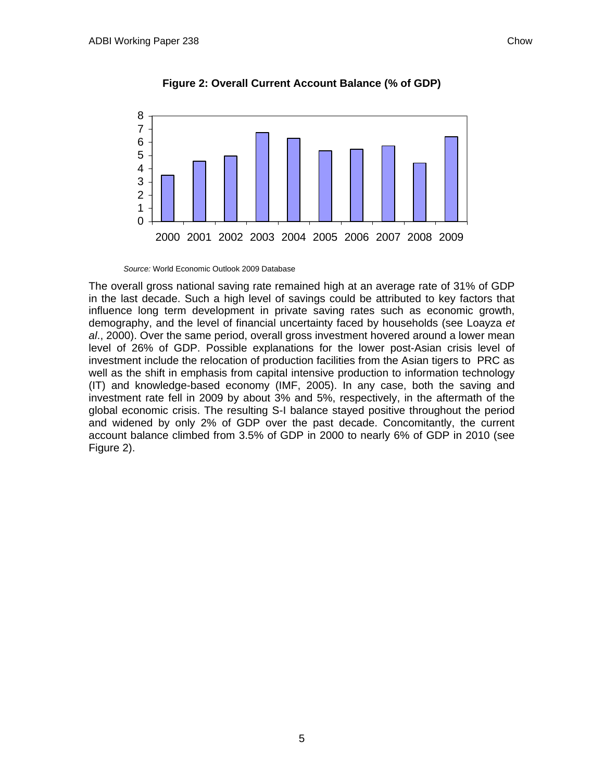

**Figure 2: Overall Current Account Balance (% of GDP)** 

*Source:* World Economic Outlook 2009 Database

The overall gross national saving rate remained high at an average rate of 31% of GDP in the last decade. Such a high level of savings could be attributed to key factors that influence long term development in private saving rates such as economic growth, demography, and the level of financial uncertainty faced by households (see Loayza *et al*., 2000). Over the same period, overall gross investment hovered around a lower mean level of 26% of GDP. Possible explanations for the lower post-Asian crisis level of investment include the relocation of production facilities from the Asian tigers to PRC as well as the shift in emphasis from capital intensive production to information technology (IT) and knowledge-based economy (IMF, 2005). In any case, both the saving and investment rate fell in 2009 by about 3% and 5%, respectively, in the aftermath of the global economic crisis. The resulting S-I balance stayed positive throughout the period and widened by only 2% of GDP over the past decade. Concomitantly, the current account balance climbed from 3.5% of GDP in 2000 to nearly 6% of GDP in 2010 (see Figure 2).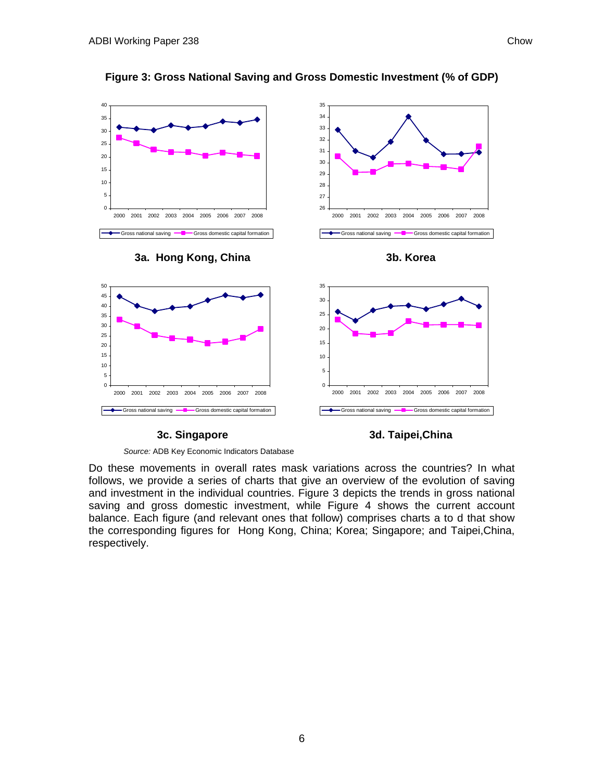

### **Figure 3: Gross National Saving and Gross Domestic Investment (% of GDP)**

#### **3c. Singapore**

### **3d. Taipei,China**

*Source:* ADB Key Economic Indicators Database

Do these movements in overall rates mask variations across the countries? In what follows, we provide a series of charts that give an overview of the evolution of saving and investment in the individual countries. Figure 3 depicts the trends in gross national saving and gross domestic investment, while Figure 4 shows the current account balance. Each figure (and relevant ones that follow) comprises charts a to d that show the corresponding figures for Hong Kong, China; Korea; Singapore; and Taipei,China, respectively.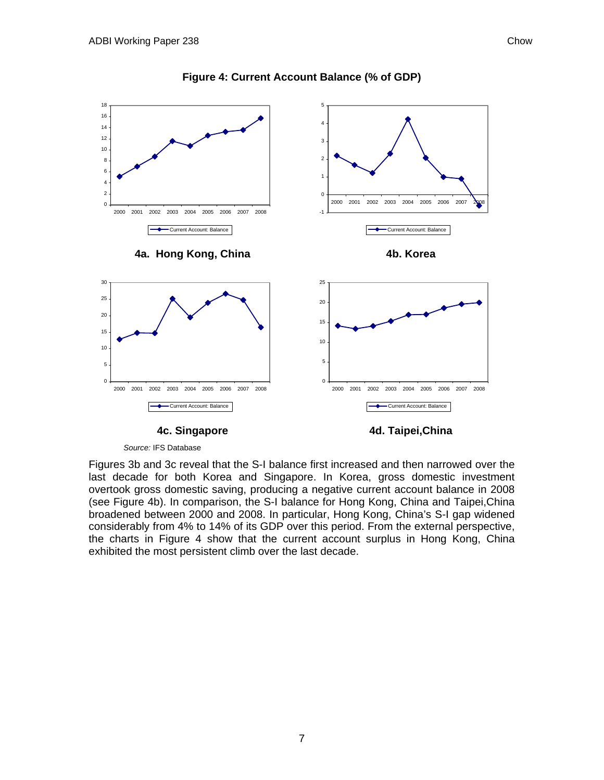

#### **Figure 4: Current Account Balance (% of GDP)**

## **4c. Singapore**

**4d. Taipei,China** 

*Source:* IFS Database

Figures 3b and 3c reveal that the S-I balance first increased and then narrowed over the last decade for both Korea and Singapore. In Korea, gross domestic investment overtook gross domestic saving, producing a negative current account balance in 2008 (see Figure 4b). In comparison, the S-I balance for Hong Kong, China and Taipei,China broadened between 2000 and 2008. In particular, Hong Kong, China's S-I gap widened considerably from 4% to 14% of its GDP over this period. From the external perspective, the charts in Figure 4 show that the current account surplus in Hong Kong, China exhibited the most persistent climb over the last decade.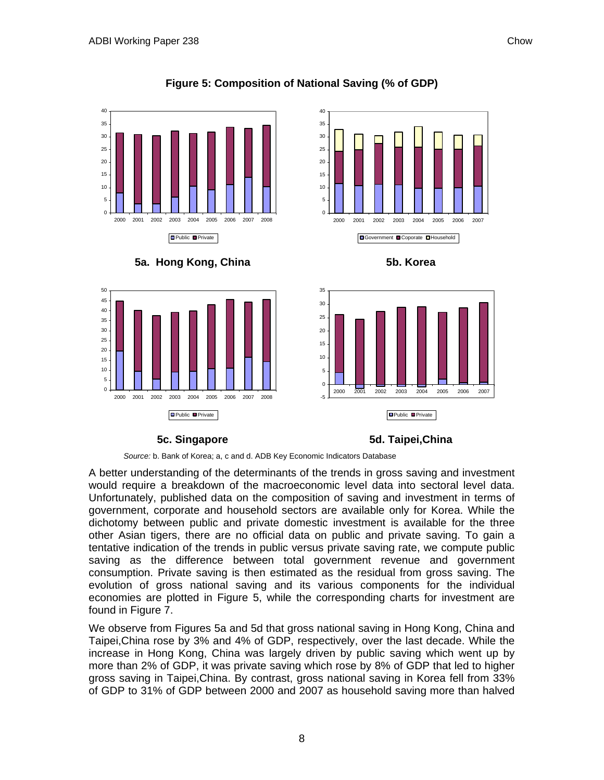



## **Figure 5: Composition of National Saving (% of GDP)**







#### **5c. Singapore**

**5d. Taipei,China**

*Source:* b. Bank of Korea; a, c and d. ADB Key Economic Indicators Database

A better understanding of the determinants of the trends in gross saving and investment would require a breakdown of the macroeconomic level data into sectoral level data. Unfortunately, published data on the composition of saving and investment in terms of government, corporate and household sectors are available only for Korea. While the dichotomy between public and private domestic investment is available for the three other Asian tigers, there are no official data on public and private saving. To gain a tentative indication of the trends in public versus private saving rate, we compute public saving as the difference between total government revenue and government consumption. Private saving is then estimated as the residual from gross saving. The evolution of gross national saving and its various components for the individual economies are plotted in Figure 5, while the corresponding charts for investment are found in Figure 7.

We observe from Figures 5a and 5d that gross national saving in Hong Kong, China and Taipei,China rose by 3% and 4% of GDP, respectively, over the last decade. While the increase in Hong Kong, China was largely driven by public saving which went up by more than 2% of GDP, it was private saving which rose by 8% of GDP that led to higher gross saving in Taipei,China. By contrast, gross national saving in Korea fell from 33% of GDP to 31% of GDP between 2000 and 2007 as household saving more than halved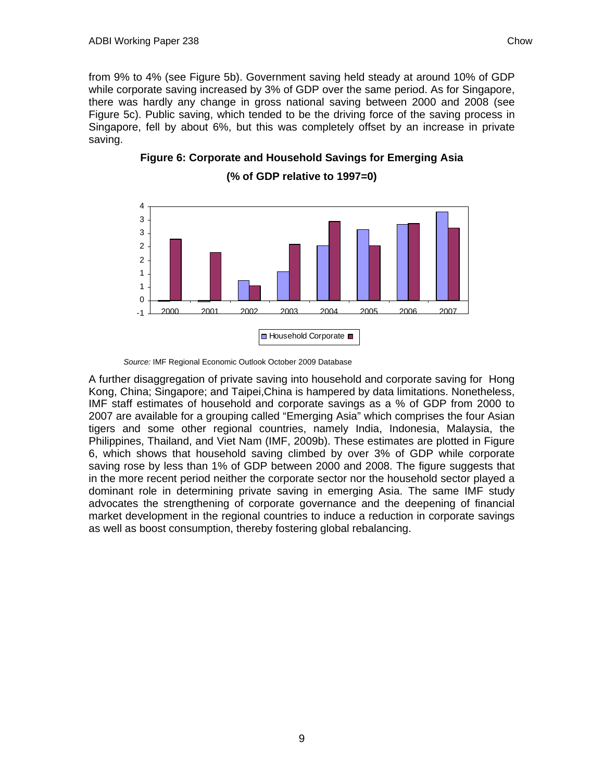from 9% to 4% (see Figure 5b). Government saving held steady at around 10% of GDP while corporate saving increased by 3% of GDP over the same period. As for Singapore, there was hardly any change in gross national saving between 2000 and 2008 (see Figure 5c). Public saving, which tended to be the driving force of the saving process in Singapore, fell by about 6%, but this was completely offset by an increase in private saving.

**Figure 6: Corporate and Household Savings for Emerging Asia (% of GDP relative to 1997=0)** 



*Source:* IMF Regional Economic Outlook October 2009 Database

A further disaggregation of private saving into household and corporate saving for Hong Kong, China; Singapore; and Taipei,China is hampered by data limitations. Nonetheless, IMF staff estimates of household and corporate savings as a % of GDP from 2000 to 2007 are available for a grouping called "Emerging Asia" which comprises the four Asian tigers and some other regional countries, namely India, Indonesia, Malaysia, the Philippines, Thailand, and Viet Nam (IMF, 2009b). These estimates are plotted in Figure 6, which shows that household saving climbed by over 3% of GDP while corporate saving rose by less than 1% of GDP between 2000 and 2008. The figure suggests that in the more recent period neither the corporate sector nor the household sector played a dominant role in determining private saving in emerging Asia. The same IMF study advocates the strengthening of corporate governance and the deepening of financial market development in the regional countries to induce a reduction in corporate savings as well as boost consumption, thereby fostering global rebalancing.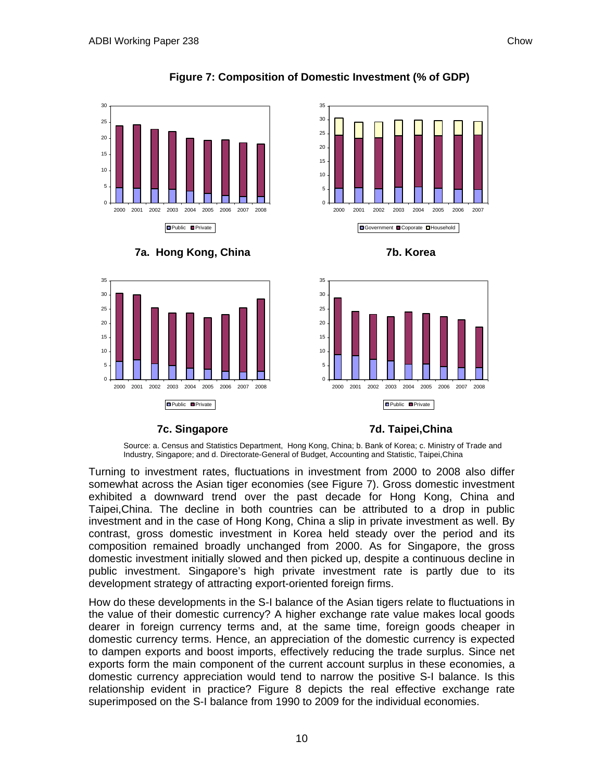





**7a. Hong Kong, China** 







## **7c. Singapore**

**7d. Taipei,China** 

Source: a. Census and Statistics Department, Hong Kong, China; b. Bank of Korea; c. Ministry of Trade and Industry, Singapore; and d. Directorate-General of Budget, Accounting and Statistic, Taipei,China

Turning to investment rates, fluctuations in investment from 2000 to 2008 also differ somewhat across the Asian tiger economies (see Figure 7). Gross domestic investment exhibited a downward trend over the past decade for Hong Kong, China and Taipei,China. The decline in both countries can be attributed to a drop in public investment and in the case of Hong Kong, China a slip in private investment as well. By contrast, gross domestic investment in Korea held steady over the period and its composition remained broadly unchanged from 2000. As for Singapore, the gross domestic investment initially slowed and then picked up, despite a continuous decline in public investment. Singapore's high private investment rate is partly due to its development strategy of attracting export-oriented foreign firms.

How do these developments in the S-I balance of the Asian tigers relate to fluctuations in the value of their domestic currency? A higher exchange rate value makes local goods dearer in foreign currency terms and, at the same time, foreign goods cheaper in domestic currency terms. Hence, an appreciation of the domestic currency is expected to dampen exports and boost imports, effectively reducing the trade surplus. Since net exports form the main component of the current account surplus in these economies, a domestic currency appreciation would tend to narrow the positive S-I balance. Is this relationship evident in practice? Figure 8 depicts the real effective exchange rate superimposed on the S-I balance from 1990 to 2009 for the individual economies.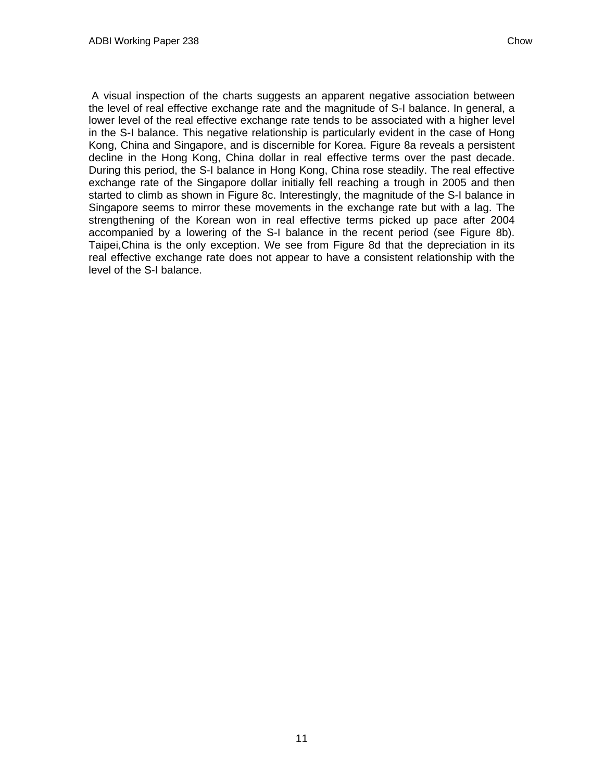A visual inspection of the charts suggests an apparent negative association between the level of real effective exchange rate and the magnitude of S-I balance. In general, a lower level of the real effective exchange rate tends to be associated with a higher level in the S-I balance. This negative relationship is particularly evident in the case of Hong Kong, China and Singapore, and is discernible for Korea. Figure 8a reveals a persistent decline in the Hong Kong, China dollar in real effective terms over the past decade. During this period, the S-I balance in Hong Kong, China rose steadily. The real effective exchange rate of the Singapore dollar initially fell reaching a trough in 2005 and then started to climb as shown in Figure 8c. Interestingly, the magnitude of the S-I balance in Singapore seems to mirror these movements in the exchange rate but with a lag. The strengthening of the Korean won in real effective terms picked up pace after 2004 accompanied by a lowering of the S-I balance in the recent period (see Figure 8b). Taipei,China is the only exception. We see from Figure 8d that the depreciation in its real effective exchange rate does not appear to have a consistent relationship with the level of the S-I balance.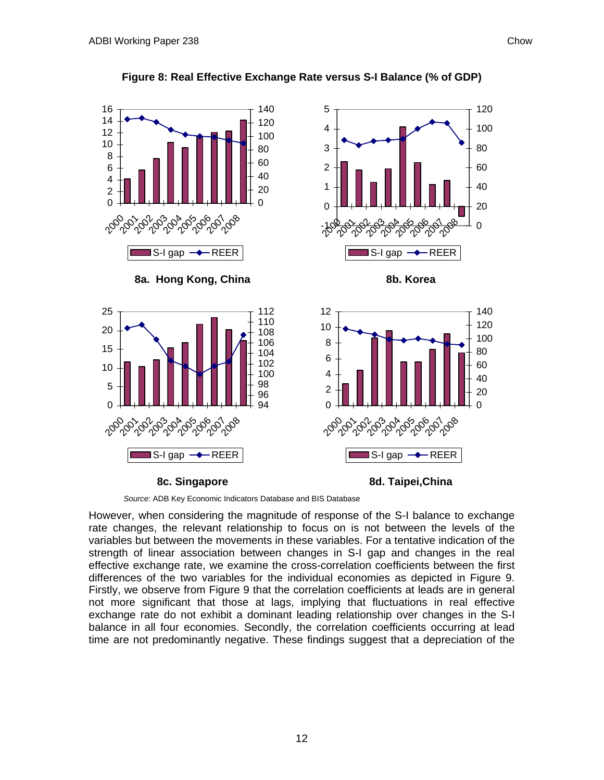

### **Figure 8: Real Effective Exchange Rate versus S-I Balance (% of GDP)**

*Source:* ADB Key Economic Indicators Database and BIS Database

However, when considering the magnitude of response of the S-I balance to exchange rate changes, the relevant relationship to focus on is not between the levels of the variables but between the movements in these variables. For a tentative indication of the strength of linear association between changes in S-I gap and changes in the real effective exchange rate, we examine the cross-correlation coefficients between the first differences of the two variables for the individual economies as depicted in Figure 9. Firstly, we observe from Figure 9 that the correlation coefficients at leads are in general not more significant that those at lags, implying that fluctuations in real effective exchange rate do not exhibit a dominant leading relationship over changes in the S-I balance in all four economies. Secondly, the correlation coefficients occurring at lead time are not predominantly negative. These findings suggest that a depreciation of the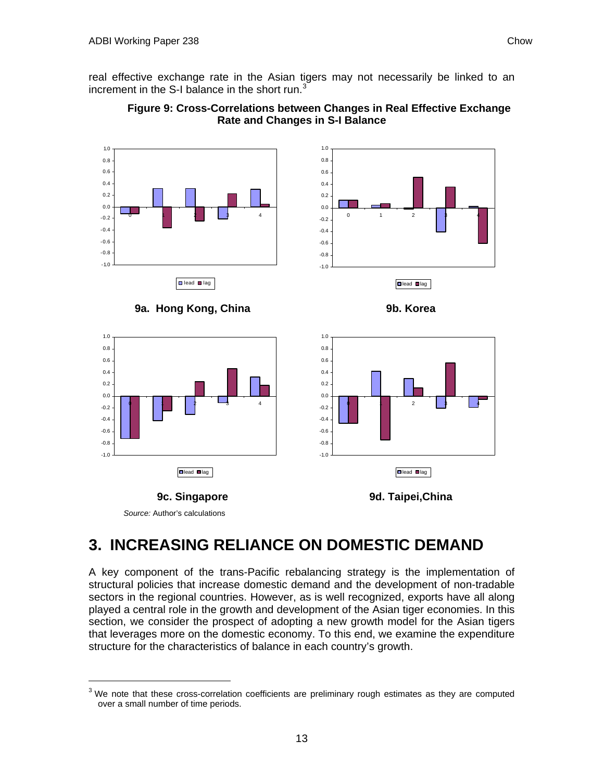<span id="page-14-1"></span><span id="page-14-0"></span>real effective exchange rate in the Asian tigers may not necessarily be linked to an increment in the S-I balance in the short run. $3$ 





*Source:* Author's calculations

## **3. INCREASING RELIANCE ON DOMESTIC DEMAND**

A key component of the trans-Pacific rebalancing strategy is the implementation of structural policies that increase domestic demand and the development of non-tradable sectors in the regional countries. However, as is well recognized, exports have all along played a central role in the growth and development of the Asian tiger economies. In this section, we consider the prospect of adopting a new growth model for the Asian tigers that leverages more on the domestic economy. To this end, we examine the expenditure structure for the characteristics of balance in each country's growth.

 $3$  We note that these cross-correlation coefficients are preliminary rough estimates as they are computed over a small number of time periods.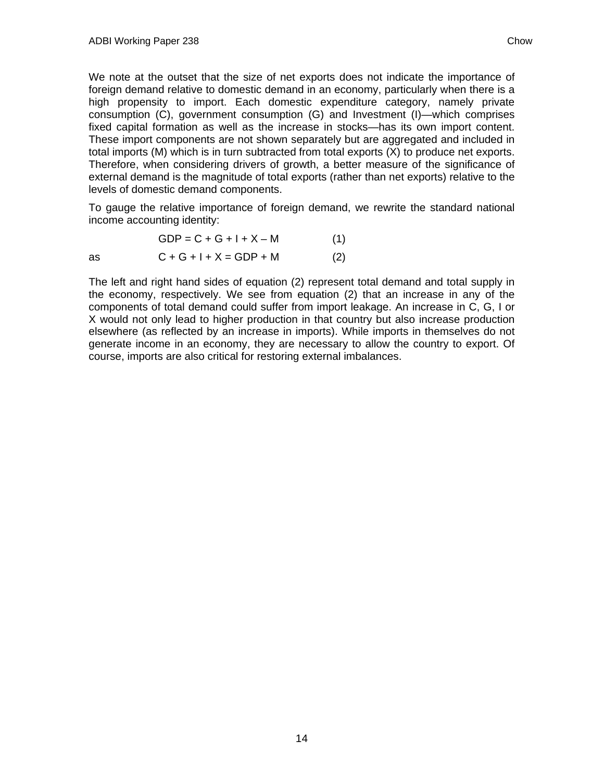We note at the outset that the size of net exports does not indicate the importance of foreign demand relative to domestic demand in an economy, particularly when there is a high propensity to import. Each domestic expenditure category, namely private consumption (C), government consumption (G) and Investment (I)—which comprises fixed capital formation as well as the increase in stocks—has its own import content. These import components are not shown separately but are aggregated and included in total imports (M) which is in turn subtracted from total exports (X) to produce net exports. Therefore, when considering drivers of growth, a better measure of the significance of external demand is the magnitude of total exports (rather than net exports) relative to the levels of domestic demand components.

To gauge the relative importance of foreign demand, we rewrite the standard national income accounting identity:

$$
GDP = C + G + I + X - M \tag{1}
$$
  
as 
$$
C + G + I + X = GDP + M \tag{2}
$$

The left and right hand sides of equation (2) represent total demand and total supply in the economy, respectively. We see from equation (2) that an increase in any of the components of total demand could suffer from import leakage. An increase in C, G, I or X would not only lead to higher production in that country but also increase production elsewhere (as reflected by an increase in imports). While imports in themselves do not generate income in an economy, they are necessary to allow the country to export. Of course, imports are also critical for restoring external imbalances.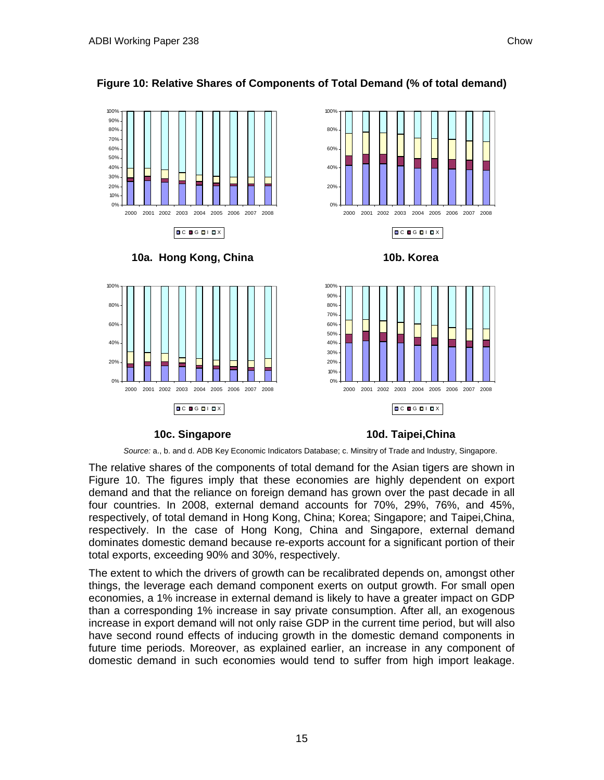

### **Figure 10: Relative Shares of Components of Total Demand (% of total demand)**



*Source:* a., b. and d. ADB Key Economic Indicators Database; c. Minsitry of Trade and Industry, Singapore.

The relative shares of the components of total demand for the Asian tigers are shown in Figure 10. The figures imply that these economies are highly dependent on export demand and that the reliance on foreign demand has grown over the past decade in all four countries. In 2008, external demand accounts for 70%, 29%, 76%, and 45%, respectively, of total demand in Hong Kong, China; Korea; Singapore; and Taipei,China, respectively. In the case of Hong Kong, China and Singapore, external demand dominates domestic demand because re-exports account for a significant portion of their total exports, exceeding 90% and 30%, respectively.

The extent to which the drivers of growth can be recalibrated depends on, amongst other things, the leverage each demand component exerts on output growth. For small open economies, a 1% increase in external demand is likely to have a greater impact on GDP than a corresponding 1% increase in say private consumption. After all, an exogenous increase in export demand will not only raise GDP in the current time period, but will also have second round effects of inducing growth in the domestic demand components in future time periods. Moreover, as explained earlier, an increase in any component of domestic demand in such economies would tend to suffer from high import leakage.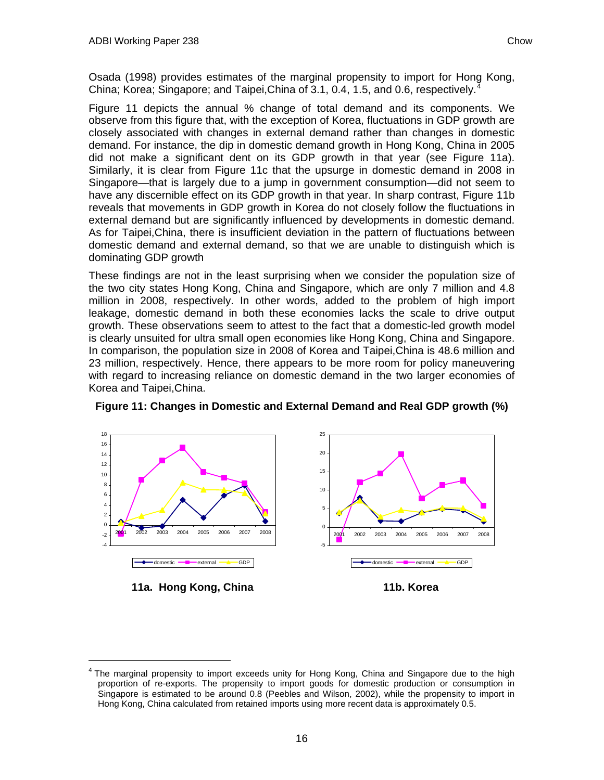<span id="page-17-0"></span>Osada (1998) provides estimates of the marginal propensity to import for Hong Kong, China; Korea; Singapore; and Taipei, China of 3.1, 0.[4](#page-17-0), 1.5, and 0.6, respectively.

Figure 11 depicts the annual % change of total demand and its components. We observe from this figure that, with the exception of Korea, fluctuations in GDP growth are closely associated with changes in external demand rather than changes in domestic demand. For instance, the dip in domestic demand growth in Hong Kong, China in 2005 did not make a significant dent on its GDP growth in that year (see Figure 11a). Similarly, it is clear from Figure 11c that the upsurge in domestic demand in 2008 in Singapore—that is largely due to a jump in government consumption—did not seem to have any discernible effect on its GDP growth in that year. In sharp contrast, Figure 11b reveals that movements in GDP growth in Korea do not closely follow the fluctuations in external demand but are significantly influenced by developments in domestic demand. As for Taipei,China, there is insufficient deviation in the pattern of fluctuations between domestic demand and external demand, so that we are unable to distinguish which is dominating GDP growth

These findings are not in the least surprising when we consider the population size of the two city states Hong Kong, China and Singapore, which are only 7 million and 4.8 million in 2008, respectively. In other words, added to the problem of high import leakage, domestic demand in both these economies lacks the scale to drive output growth. These observations seem to attest to the fact that a domestic-led growth model is clearly unsuited for ultra small open economies like Hong Kong, China and Singapore. In comparison, the population size in 2008 of Korea and Taipei,China is 48.6 million and 23 million, respectively. Hence, there appears to be more room for policy maneuvering with regard to increasing reliance on domestic demand in the two larger economies of Korea and Taipei,China.



**Figure 11: Changes in Domestic and External Demand and Real GDP growth (%)** 

<sup>4</sup> The marginal propensity to import exceeds unity for Hong Kong, China and Singapore due to the high proportion of re-exports. The propensity to import goods for domestic production or consumption in Singapore is estimated to be around 0.8 (Peebles and Wilson, 2002), while the propensity to import in Hong Kong, China calculated from retained imports using more recent data is approximately 0.5.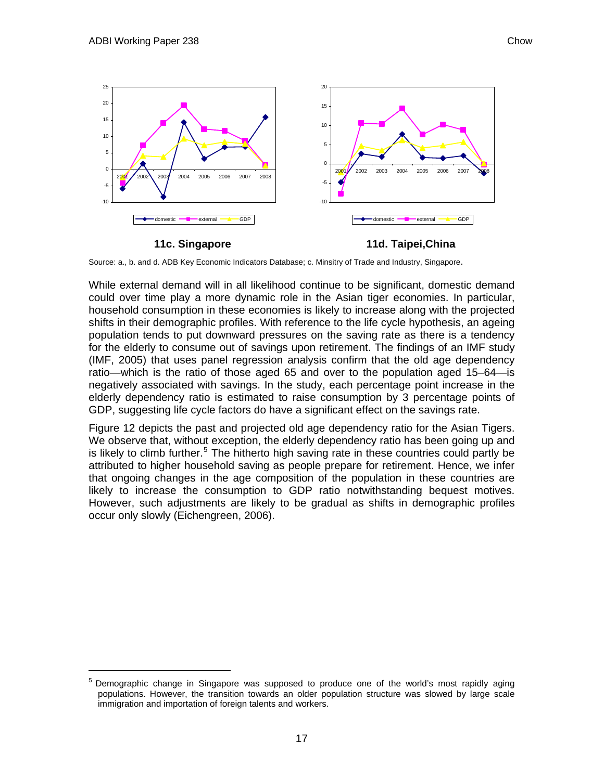$\overline{a}$ 

<span id="page-18-0"></span>

**11c. Singapore** 

**11d. Taipei,China** 

Source: a., b. and d. ADB Key Economic Indicators Database; c. Minsitry of Trade and Industry, Singapore.

While external demand will in all likelihood continue to be significant, domestic demand could over time play a more dynamic role in the Asian tiger economies. In particular, household consumption in these economies is likely to increase along with the projected shifts in their demographic profiles. With reference to the life cycle hypothesis, an ageing population tends to put downward pressures on the saving rate as there is a tendency for the elderly to consume out of savings upon retirement. The findings of an IMF study (IMF, 2005) that uses panel regression analysis confirm that the old age dependency ratio—which is the ratio of those aged 65 and over to the population aged 15–64—is negatively associated with savings. In the study, each percentage point increase in the elderly dependency ratio is estimated to raise consumption by 3 percentage points of GDP, suggesting life cycle factors do have a significant effect on the savings rate.

Figure 12 depicts the past and projected old age dependency ratio for the Asian Tigers. We observe that, without exception, the elderly dependency ratio has been going up and is likely to climb further.<sup>[5](#page-18-0)</sup> The hitherto high saving rate in these countries could partly be attributed to higher household saving as people prepare for retirement. Hence, we infer that ongoing changes in the age composition of the population in these countries are likely to increase the consumption to GDP ratio notwithstanding bequest motives. However, such adjustments are likely to be gradual as shifts in demographic profiles occur only slowly (Eichengreen, 2006).

<sup>5</sup> Demographic change in Singapore was supposed to produce one of the world's most rapidly aging populations. However, the transition towards an older population structure was slowed by large scale immigration and importation of foreign talents and workers.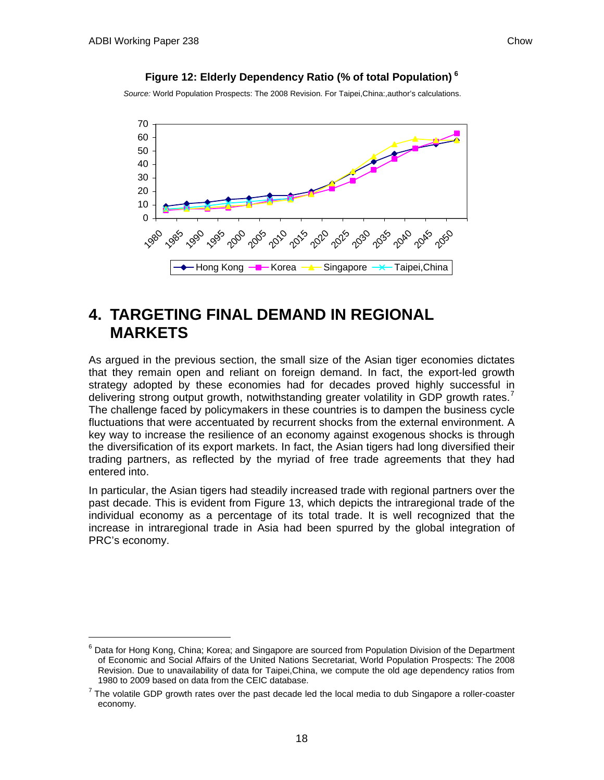### **Figure 12: Elderly Dependency Ratio (% of total Population) [6](#page-19-1)**

<span id="page-19-1"></span><span id="page-19-0"></span>*Source:* World Population Prospects: The 2008 Revision. For Taipei,China:,author's calculations.



## **4. TARGETING FINAL DEMAND IN REGIONAL MARKETS**

As argued in the previous section, the small size of the Asian tiger economies dictates that they remain open and reliant on foreign demand. In fact, the export-led growth strategy adopted by these economies had for decades proved highly successful in delivering strong output growth, notwithstanding greater volatility in GDP growth rates.<sup>[7](#page-19-1)</sup> The challenge faced by policymakers in these countries is to dampen the business cycle fluctuations that were accentuated by recurrent shocks from the external environment. A key way to increase the resilience of an economy against exogenous shocks is through the diversification of its export markets. In fact, the Asian tigers had long diversified their trading partners, as reflected by the myriad of free trade agreements that they had entered into.

In particular, the Asian tigers had steadily increased trade with regional partners over the past decade. This is evident from Figure 13, which depicts the intraregional trade of the individual economy as a percentage of its total trade. It is well recognized that the increase in intraregional trade in Asia had been spurred by the global integration of PRC's economy.

<sup>&</sup>lt;sup>6</sup> Data for Hong Kong, China; Korea; and Singapore are sourced from Population Division of the Department of Economic and Social Affairs of the United Nations Secretariat, World Population Prospects: The 2008 Revision. Due to unavailability of data for Taipei,China, we compute the old age dependency ratios from 1980 to 2009 based on data from the CEIC database.

 $7$  The volatile GDP growth rates over the past decade led the local media to dub Singapore a roller-coaster economy.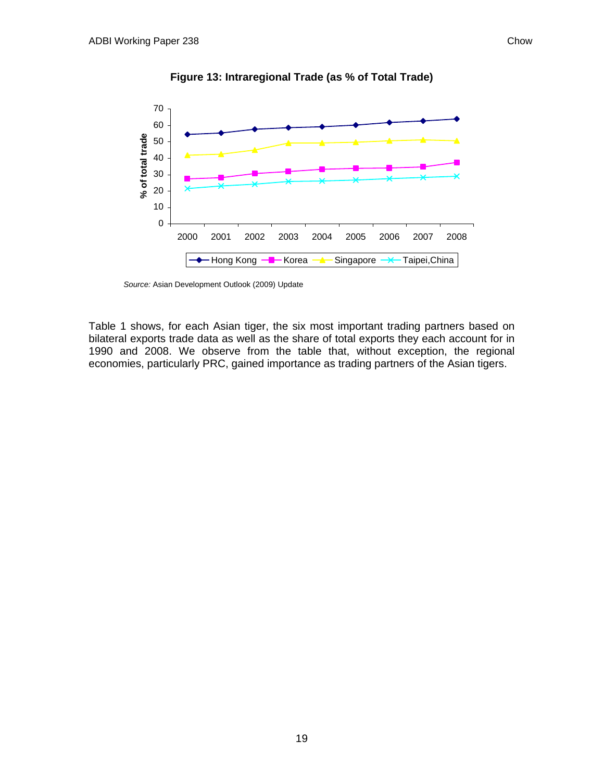

**Figure 13: Intraregional Trade (as % of Total Trade)** 

*Source:* Asian Development Outlook (2009) Update

Table 1 shows, for each Asian tiger, the six most important trading partners based on bilateral exports trade data as well as the share of total exports they each account for in 1990 and 2008. We observe from the table that, without exception, the regional economies, particularly PRC, gained importance as trading partners of the Asian tigers.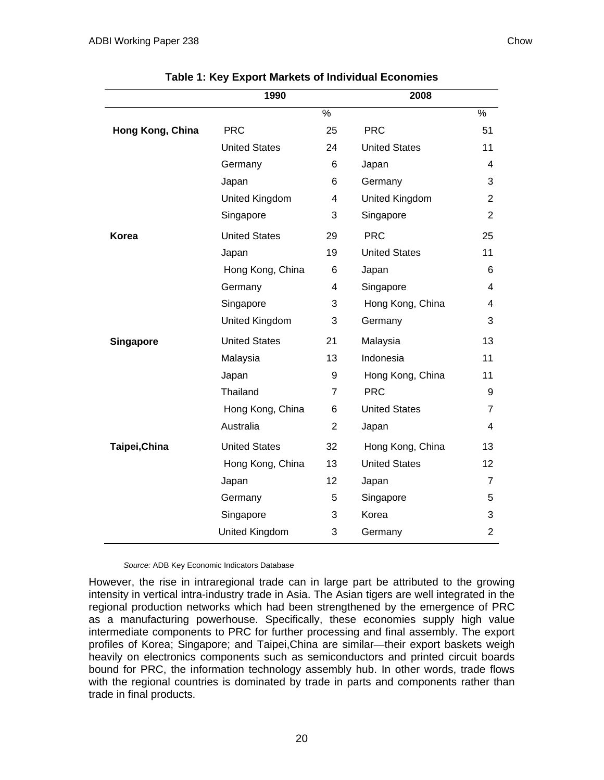|                  | 1990                 |                | 2008                 |                |
|------------------|----------------------|----------------|----------------------|----------------|
|                  |                      | $\%$           |                      | $\%$           |
| Hong Kong, China | <b>PRC</b>           | 25             | <b>PRC</b>           | 51             |
|                  | <b>United States</b> | 24             | <b>United States</b> | 11             |
|                  | Germany              | 6              | Japan                | 4              |
|                  | Japan                | 6              | Germany              | 3              |
|                  | United Kingdom       | $\overline{4}$ | United Kingdom       | 2              |
|                  | Singapore            | 3              | Singapore            | $\overline{2}$ |
| <b>Korea</b>     | <b>United States</b> | 29             | <b>PRC</b>           | 25             |
|                  | Japan                | 19             | <b>United States</b> | 11             |
|                  | Hong Kong, China     | 6              | Japan                | 6              |
|                  | Germany              | 4              | Singapore            | 4              |
|                  | Singapore            | 3              | Hong Kong, China     | 4              |
|                  | United Kingdom       | 3              | Germany              | 3              |
| <b>Singapore</b> | <b>United States</b> | 21             | Malaysia             | 13             |
|                  | Malaysia             | 13             | Indonesia            | 11             |
|                  | Japan                | 9              | Hong Kong, China     | 11             |
|                  | Thailand             | $\overline{7}$ | <b>PRC</b>           | 9              |
|                  | Hong Kong, China     | 6              | <b>United States</b> | 7              |
|                  | Australia            | $\overline{2}$ | Japan                | 4              |
| Taipei, China    | <b>United States</b> | 32             | Hong Kong, China     | 13             |
|                  | Hong Kong, China     | 13             | <b>United States</b> | 12             |
|                  | Japan                | 12             | Japan                | $\overline{7}$ |
|                  | Germany              | 5              | Singapore            | 5              |
|                  | Singapore            | 3              | Korea                | 3              |
|                  | United Kingdom       | 3              | Germany              | $\overline{2}$ |

**Table 1: Key Export Markets of Individual Economies** 

*Source:* ADB Key Economic Indicators Database

However, the rise in intraregional trade can in large part be attributed to the growing intensity in vertical intra-industry trade in Asia. The Asian tigers are well integrated in the regional production networks which had been strengthened by the emergence of PRC as a manufacturing powerhouse. Specifically, these economies supply high value intermediate components to PRC for further processing and final assembly. The export profiles of Korea; Singapore; and Taipei,China are similar—their export baskets weigh heavily on electronics components such as semiconductors and printed circuit boards bound for PRC, the information technology assembly hub. In other words, trade flows with the regional countries is dominated by trade in parts and components rather than trade in final products.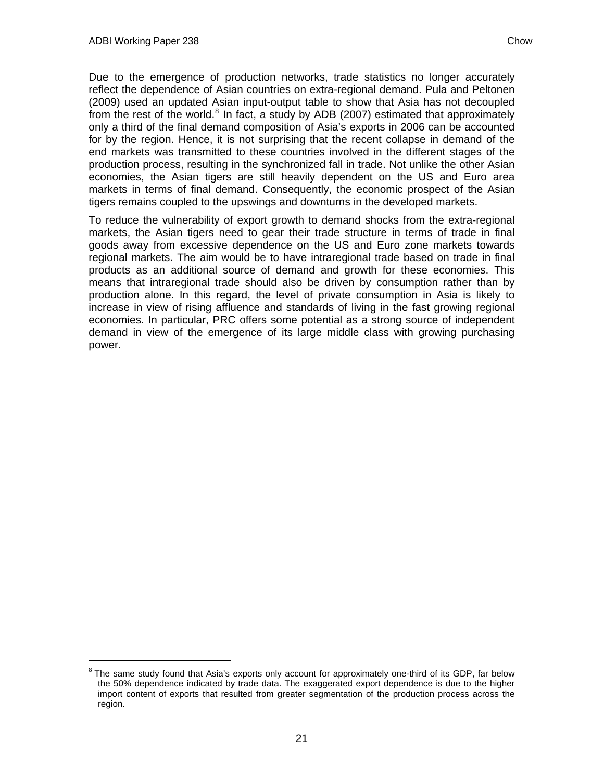-

<span id="page-22-0"></span>Due to the emergence of production networks, trade statistics no longer accurately reflect the dependence of Asian countries on extra-regional demand. Pula and Peltonen (2009) used an updated Asian input-output table to show that Asia has not decoupled from the rest of the world. $8$  In fact, a study by ADB (2007) estimated that approximately only a third of the final demand composition of Asia's exports in 2006 can be accounted for by the region. Hence, it is not surprising that the recent collapse in demand of the end markets was transmitted to these countries involved in the different stages of the production process, resulting in the synchronized fall in trade. Not unlike the other Asian economies, the Asian tigers are still heavily dependent on the US and Euro area markets in terms of final demand. Consequently, the economic prospect of the Asian tigers remains coupled to the upswings and downturns in the developed markets.

To reduce the vulnerability of export growth to demand shocks from the extra-regional markets, the Asian tigers need to gear their trade structure in terms of trade in final goods away from excessive dependence on the US and Euro zone markets towards regional markets. The aim would be to have intraregional trade based on trade in final products as an additional source of demand and growth for these economies. This means that intraregional trade should also be driven by consumption rather than by production alone. In this regard, the level of private consumption in Asia is likely to increase in view of rising affluence and standards of living in the fast growing regional economies. In particular, PRC offers some potential as a strong source of independent demand in view of the emergence of its large middle class with growing purchasing power.

<sup>8</sup> The same study found that Asia's exports only account for approximately one-third of its GDP, far below the 50% dependence indicated by trade data. The exaggerated export dependence is due to the higher import content of exports that resulted from greater segmentation of the production process across the region.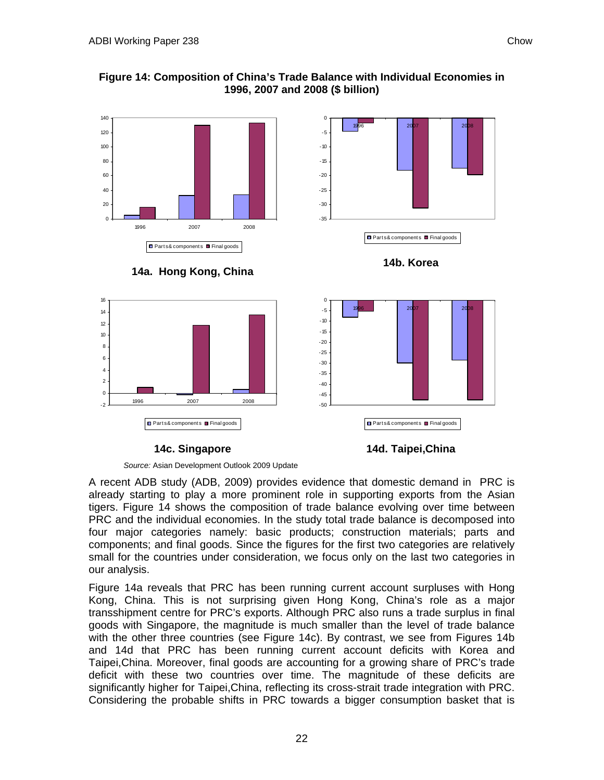











**14c. Singapore** 



*Source:* Asian Development Outlook 2009 Update

A recent ADB study (ADB, 2009) provides evidence that domestic demand in PRC is already starting to play a more prominent role in supporting exports from the Asian tigers. Figure 14 shows the composition of trade balance evolving over time between PRC and the individual economies. In the study total trade balance is decomposed into four major categories namely: basic products; construction materials; parts and components; and final goods. Since the figures for the first two categories are relatively small for the countries under consideration, we focus only on the last two categories in our analysis.

Figure 14a reveals that PRC has been running current account surpluses with Hong Kong, China. This is not surprising given Hong Kong, China's role as a major transshipment centre for PRC's exports. Although PRC also runs a trade surplus in final goods with Singapore, the magnitude is much smaller than the level of trade balance with the other three countries (see Figure 14c). By contrast, we see from Figures 14b and 14d that PRC has been running current account deficits with Korea and Taipei,China. Moreover, final goods are accounting for a growing share of PRC's trade deficit with these two countries over time. The magnitude of these deficits are significantly higher for Taipei,China, reflecting its cross-strait trade integration with PRC. Considering the probable shifts in PRC towards a bigger consumption basket that is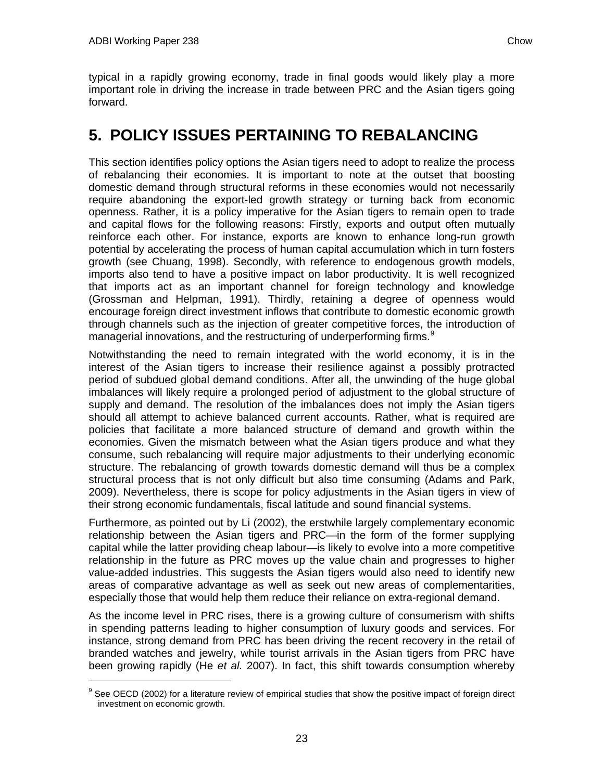-

<span id="page-24-1"></span><span id="page-24-0"></span>typical in a rapidly growing economy, trade in final goods would likely play a more important role in driving the increase in trade between PRC and the Asian tigers going forward.

## **5. POLICY ISSUES PERTAINING TO REBALANCING**

This section identifies policy options the Asian tigers need to adopt to realize the process of rebalancing their economies. It is important to note at the outset that boosting domestic demand through structural reforms in these economies would not necessarily require abandoning the export-led growth strategy or turning back from economic openness. Rather, it is a policy imperative for the Asian tigers to remain open to trade and capital flows for the following reasons: Firstly, exports and output often mutually reinforce each other. For instance, exports are known to enhance long-run growth potential by accelerating the process of human capital accumulation which in turn fosters growth (see Chuang, 1998). Secondly, with reference to endogenous growth models, imports also tend to have a positive impact on labor productivity. It is well recognized that imports act as an important channel for foreign technology and knowledge (Grossman and Helpman, 1991). Thirdly, retaining a degree of openness would encourage foreign direct investment inflows that contribute to domestic economic growth through channels such as the injection of greater competitive forces, the introduction of managerial innovations, and the restructuring of underperforming firms.<sup>[9](#page-24-1)</sup>

Notwithstanding the need to remain integrated with the world economy, it is in the interest of the Asian tigers to increase their resilience against a possibly protracted period of subdued global demand conditions. After all, the unwinding of the huge global imbalances will likely require a prolonged period of adjustment to the global structure of supply and demand. The resolution of the imbalances does not imply the Asian tigers should all attempt to achieve balanced current accounts. Rather, what is required are policies that facilitate a more balanced structure of demand and growth within the economies. Given the mismatch between what the Asian tigers produce and what they consume, such rebalancing will require major adjustments to their underlying economic structure. The rebalancing of growth towards domestic demand will thus be a complex structural process that is not only difficult but also time consuming (Adams and Park, 2009). Nevertheless, there is scope for policy adjustments in the Asian tigers in view of their strong economic fundamentals, fiscal latitude and sound financial systems.

Furthermore, as pointed out by Li (2002), the erstwhile largely complementary economic relationship between the Asian tigers and PRC—in the form of the former supplying capital while the latter providing cheap labour—is likely to evolve into a more competitive relationship in the future as PRC moves up the value chain and progresses to higher value-added industries. This suggests the Asian tigers would also need to identify new areas of comparative advantage as well as seek out new areas of complementarities, especially those that would help them reduce their reliance on extra-regional demand.

As the income level in PRC rises, there is a growing culture of consumerism with shifts in spending patterns leading to higher consumption of luxury goods and services. For instance, strong demand from PRC has been driving the recent recovery in the retail of branded watches and jewelry, while tourist arrivals in the Asian tigers from PRC have been growing rapidly (He *et al.* 2007). In fact, this shift towards consumption whereby

 $9$  See OECD (2002) for a literature review of empirical studies that show the positive impact of foreign direct investment on economic growth.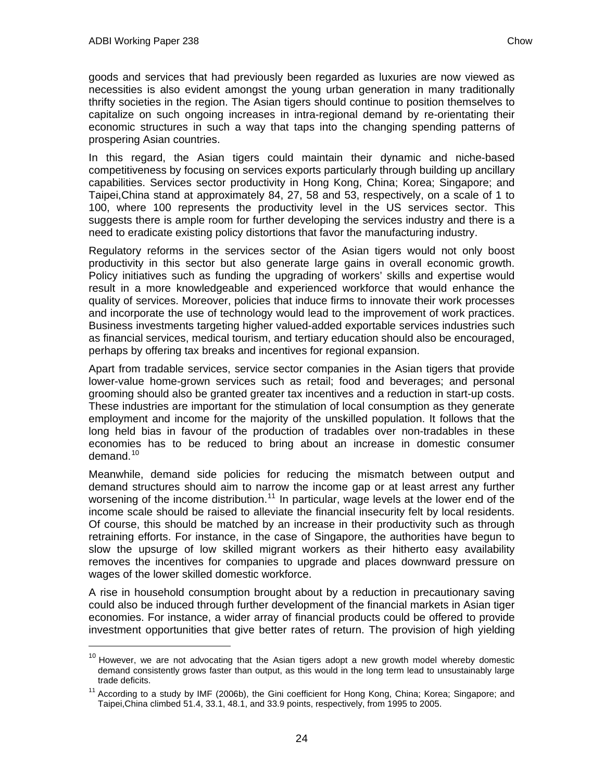$\overline{a}$ 

<span id="page-25-0"></span>goods and services that had previously been regarded as luxuries are now viewed as necessities is also evident amongst the young urban generation in many traditionally thrifty societies in the region. The Asian tigers should continue to position themselves to capitalize on such ongoing increases in intra-regional demand by re-orientating their economic structures in such a way that taps into the changing spending patterns of prospering Asian countries.

In this regard, the Asian tigers could maintain their dynamic and niche-based competitiveness by focusing on services exports particularly through building up ancillary capabilities. Services sector productivity in Hong Kong, China; Korea; Singapore; and Taipei,China stand at approximately 84, 27, 58 and 53, respectively, on a scale of 1 to 100, where 100 represents the productivity level in the US services sector. This suggests there is ample room for further developing the services industry and there is a need to eradicate existing policy distortions that favor the manufacturing industry.

Regulatory reforms in the services sector of the Asian tigers would not only boost productivity in this sector but also generate large gains in overall economic growth. Policy initiatives such as funding the upgrading of workers' skills and expertise would result in a more knowledgeable and experienced workforce that would enhance the quality of services. Moreover, policies that induce firms to innovate their work processes and incorporate the use of technology would lead to the improvement of work practices. Business investments targeting higher valued-added exportable services industries such as financial services, medical tourism, and tertiary education should also be encouraged, perhaps by offering tax breaks and incentives for regional expansion.

Apart from tradable services, service sector companies in the Asian tigers that provide lower-value home-grown services such as retail; food and beverages; and personal grooming should also be granted greater tax incentives and a reduction in start-up costs. These industries are important for the stimulation of local consumption as they generate employment and income for the majority of the unskilled population. It follows that the long held bias in favour of the production of tradables over non-tradables in these economies has to be reduced to bring about an increase in domestic consumer demand. $10<sup>10</sup>$  $10<sup>10</sup>$ 

Meanwhile, demand side policies for reducing the mismatch between output and demand structures should aim to narrow the income gap or at least arrest any further worsening of the income distribution.<sup>[11](#page-25-0)</sup> In particular, wage levels at the lower end of the income scale should be raised to alleviate the financial insecurity felt by local residents. Of course, this should be matched by an increase in their productivity such as through retraining efforts. For instance, in the case of Singapore, the authorities have begun to slow the upsurge of low skilled migrant workers as their hitherto easy availability removes the incentives for companies to upgrade and places downward pressure on wages of the lower skilled domestic workforce.

A rise in household consumption brought about by a reduction in precautionary saving could also be induced through further development of the financial markets in Asian tiger economies. For instance, a wider array of financial products could be offered to provide investment opportunities that give better rates of return. The provision of high yielding

 $10$  However, we are not advocating that the Asian tigers adopt a new growth model whereby domestic demand consistently grows faster than output, as this would in the long term lead to unsustainably large

trade deficits.<br><sup>11</sup> According to a study by IMF (2006b), the Gini coefficient for Hong Kong, China; Korea; Singapore; and Taipei,China climbed 51.4, 33.1, 48.1, and 33.9 points, respectively, from 1995 to 2005.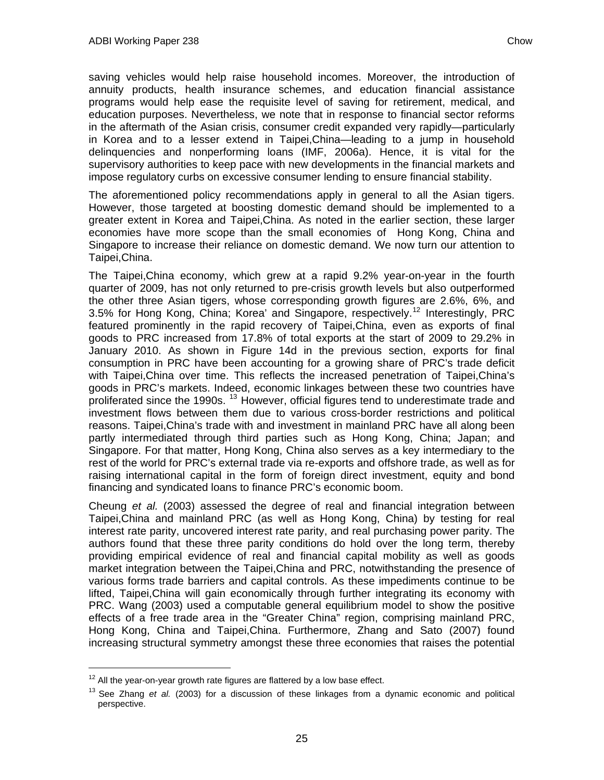<span id="page-26-0"></span>saving vehicles would help raise household incomes. Moreover, the introduction of annuity products, health insurance schemes, and education financial assistance programs would help ease the requisite level of saving for retirement, medical, and education purposes. Nevertheless, we note that in response to financial sector reforms in the aftermath of the Asian crisis, consumer credit expanded very rapidly—particularly in Korea and to a lesser extend in Taipei,China—leading to a jump in household delinquencies and nonperforming loans (IMF, 2006a). Hence, it is vital for the supervisory authorities to keep pace with new developments in the financial markets and impose regulatory curbs on excessive consumer lending to ensure financial stability.

The aforementioned policy recommendations apply in general to all the Asian tigers. However, those targeted at boosting domestic demand should be implemented to a greater extent in Korea and Taipei,China. As noted in the earlier section, these larger economies have more scope than the small economies of Hong Kong, China and Singapore to increase their reliance on domestic demand. We now turn our attention to Taipei,China.

The Taipei,China economy, which grew at a rapid 9.2% year-on-year in the fourth quarter of 2009, has not only returned to pre-crisis growth levels but also outperformed the other three Asian tigers, whose corresponding growth figures are 2.6%, 6%, and 3.5% for Hong Kong, China; Korea' and Singapore, respectively.<sup>[12](#page-26-0)</sup> Interestingly, PRC featured prominently in the rapid recovery of Taipei,China, even as exports of final goods to PRC increased from 17.8% of total exports at the start of 2009 to 29.2% in January 2010. As shown in Figure 14d in the previous section, exports for final consumption in PRC have been accounting for a growing share of PRC's trade deficit with Taipei,China over time. This reflects the increased penetration of Taipei,China's goods in PRC's markets. Indeed, economic linkages between these two countries have proliferated since the 1990s. <sup>[13](#page-26-0)</sup> However, official figures tend to underestimate trade and investment flows between them due to various cross-border restrictions and political reasons. Taipei,China's trade with and investment in mainland PRC have all along been partly intermediated through third parties such as Hong Kong, China; Japan; and Singapore. For that matter, Hong Kong, China also serves as a key intermediary to the rest of the world for PRC's external trade via re-exports and offshore trade, as well as for raising international capital in the form of foreign direct investment, equity and bond financing and syndicated loans to finance PRC's economic boom.

Cheung *et al.* (2003) assessed the degree of real and financial integration between Taipei,China and mainland PRC (as well as Hong Kong, China) by testing for real interest rate parity, uncovered interest rate parity, and real purchasing power parity. The authors found that these three parity conditions do hold over the long term, thereby providing empirical evidence of real and financial capital mobility as well as goods market integration between the Taipei,China and PRC, notwithstanding the presence of various forms trade barriers and capital controls. As these impediments continue to be lifted, Taipei,China will gain economically through further integrating its economy with PRC. Wang (2003) used a computable general equilibrium model to show the positive effects of a free trade area in the "Greater China" region, comprising mainland PRC, Hong Kong, China and Taipei,China. Furthermore, Zhang and Sato (2007) found increasing structural symmetry amongst these three economies that raises the potential

-

<sup>&</sup>lt;sup>12</sup> All the year-on-year growth rate figures are flattered by a low base effect.<br><sup>13</sup> See Zhang *et al.* (2003) for a discussion of these linkages from a dynamic economic and political perspective.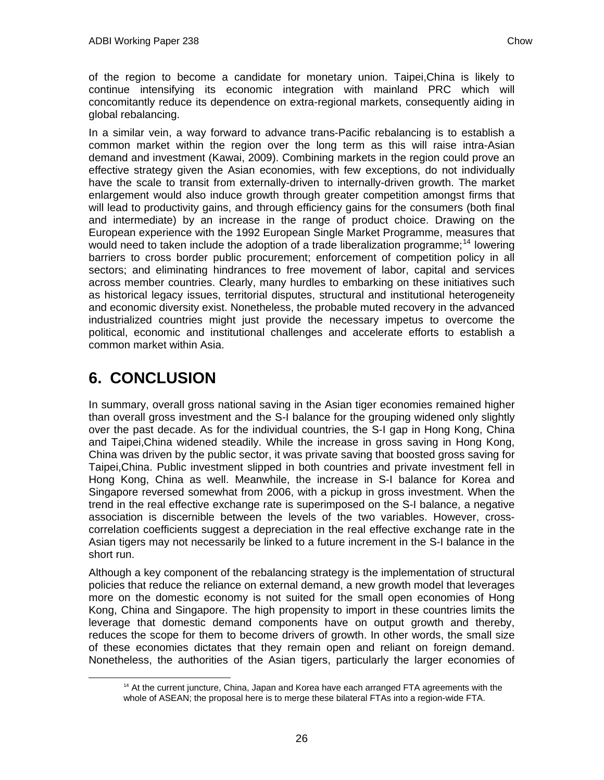<span id="page-27-1"></span><span id="page-27-0"></span>of the region to become a candidate for monetary union. Taipei,China is likely to continue intensifying its economic integration with mainland PRC which will concomitantly reduce its dependence on extra-regional markets, consequently aiding in global rebalancing.

In a similar vein, a way forward to advance trans-Pacific rebalancing is to establish a common market within the region over the long term as this will raise intra-Asian demand and investment (Kawai, 2009). Combining markets in the region could prove an effective strategy given the Asian economies, with few exceptions, do not individually have the scale to transit from externally-driven to internally-driven growth. The market enlargement would also induce growth through greater competition amongst firms that will lead to productivity gains, and through efficiency gains for the consumers (both final and intermediate) by an increase in the range of product choice. Drawing on the European experience with the 1992 European Single Market Programme, measures that would need to taken include the adoption of a trade liberalization programme:<sup>[14](#page-27-1)</sup> lowering barriers to cross border public procurement; enforcement of competition policy in all sectors; and eliminating hindrances to free movement of labor, capital and services across member countries. Clearly, many hurdles to embarking on these initiatives such as historical legacy issues, territorial disputes, structural and institutional heterogeneity and economic diversity exist. Nonetheless, the probable muted recovery in the advanced industrialized countries might just provide the necessary impetus to overcome the political, economic and institutional challenges and accelerate efforts to establish a common market within Asia.

# **6. CONCLUSION**

In summary, overall gross national saving in the Asian tiger economies remained higher than overall gross investment and the S-I balance for the grouping widened only slightly over the past decade. As for the individual countries, the S-I gap in Hong Kong, China and Taipei,China widened steadily. While the increase in gross saving in Hong Kong, China was driven by the public sector, it was private saving that boosted gross saving for Taipei,China. Public investment slipped in both countries and private investment fell in Hong Kong, China as well. Meanwhile, the increase in S-I balance for Korea and Singapore reversed somewhat from 2006, with a pickup in gross investment. When the trend in the real effective exchange rate is superimposed on the S-I balance, a negative association is discernible between the levels of the two variables. However, crosscorrelation coefficients suggest a depreciation in the real effective exchange rate in the Asian tigers may not necessarily be linked to a future increment in the S-I balance in the short run.

Although a key component of the rebalancing strategy is the implementation of structural policies that reduce the reliance on external demand, a new growth model that leverages more on the domestic economy is not suited for the small open economies of Hong Kong, China and Singapore. The high propensity to import in these countries limits the leverage that domestic demand components have on output growth and thereby, reduces the scope for them to become drivers of growth. In other words, the small size of these economies dictates that they remain open and reliant on foreign demand. Nonetheless, the authorities of the Asian tigers, particularly the larger economies of

<sup>&</sup>lt;sup>14</sup> At the current juncture, China, Japan and Korea have each arranged FTA agreements with the whole of ASEAN; the proposal here is to merge these bilateral FTAs into a region-wide FTA.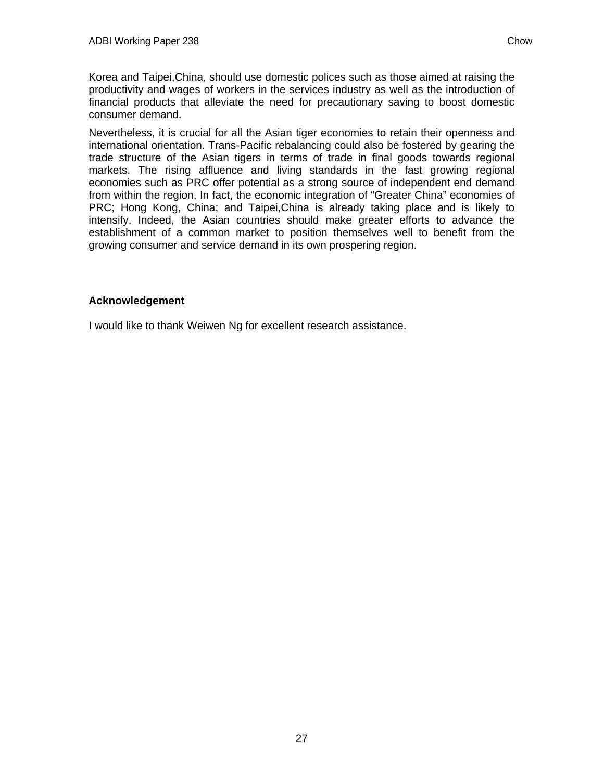Korea and Taipei,China, should use domestic polices such as those aimed at raising the productivity and wages of workers in the services industry as well as the introduction of financial products that alleviate the need for precautionary saving to boost domestic consumer demand.

Nevertheless, it is crucial for all the Asian tiger economies to retain their openness and international orientation. Trans-Pacific rebalancing could also be fostered by gearing the trade structure of the Asian tigers in terms of trade in final goods towards regional markets. The rising affluence and living standards in the fast growing regional economies such as PRC offer potential as a strong source of independent end demand from within the region. In fact, the economic integration of "Greater China" economies of PRC; Hong Kong, China; and Taipei,China is already taking place and is likely to intensify. Indeed, the Asian countries should make greater efforts to advance the establishment of a common market to position themselves well to benefit from the growing consumer and service demand in its own prospering region.

### **Acknowledgement**

I would like to thank Weiwen Ng for excellent research assistance.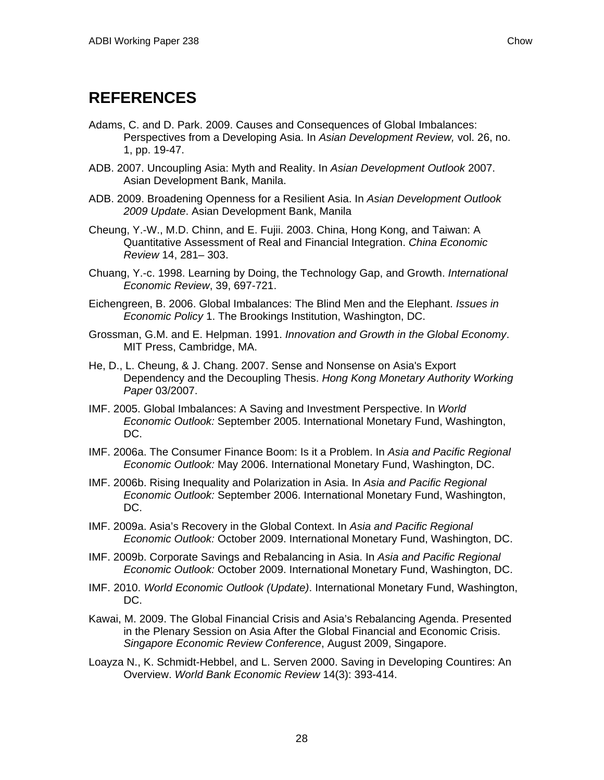# <span id="page-29-0"></span>**REFERENCES**

- Adams, C. and D. Park. 2009. Causes and Consequences of Global Imbalances: Perspectives from a Developing Asia. In *Asian Development Review,* vol. 26, no. 1, pp. 19-47.
- ADB. 2007. Uncoupling Asia: Myth and Reality. In *Asian Development Outlook* 2007. Asian Development Bank, Manila.
- ADB. 2009. Broadening Openness for a Resilient Asia. In *Asian Development Outlook 2009 Update*. Asian Development Bank, Manila
- Cheung, Y.-W., M.D. Chinn, and E. Fujii. 2003. China, Hong Kong, and Taiwan: A Quantitative Assessment of Real and Financial Integration. *China Economic Review* 14, 281– 303.
- Chuang, Y.-c. 1998. Learning by Doing, the Technology Gap, and Growth. *International Economic Review*, 39, 697-721.
- Eichengreen, B. 2006. Global Imbalances: The Blind Men and the Elephant. *Issues in Economic Policy* 1. The Brookings Institution, Washington, DC.
- Grossman, G.M. and E. Helpman. 1991. *Innovation and Growth in the Global Economy*. MIT Press, Cambridge, MA.
- He, D., L. Cheung, & J. Chang. 2007. Sense and Nonsense on Asia's Export Dependency and the Decoupling Thesis. *Hong Kong Monetary Authority Working Paper* 03/2007.
- IMF. 2005. Global Imbalances: A Saving and Investment Perspective. In *World Economic Outlook:* September 2005. International Monetary Fund, Washington, DC.
- IMF. 2006a. The Consumer Finance Boom: Is it a Problem. In *Asia and Pacific Regional Economic Outlook:* May 2006. International Monetary Fund, Washington, DC.
- IMF. 2006b. Rising Inequality and Polarization in Asia. In *Asia and Pacific Regional Economic Outlook:* September 2006. International Monetary Fund, Washington, DC.
- IMF. 2009a. Asia's Recovery in the Global Context. In *Asia and Pacific Regional Economic Outlook:* October 2009. International Monetary Fund, Washington, DC.
- IMF. 2009b. Corporate Savings and Rebalancing in Asia. In *Asia and Pacific Regional Economic Outlook:* October 2009. International Monetary Fund, Washington, DC.
- IMF. 2010. *World Economic Outlook (Update)*. International Monetary Fund, Washington, DC.
- Kawai, M. 2009. The Global Financial Crisis and Asia's Rebalancing Agenda. Presented in the Plenary Session on Asia After the Global Financial and Economic Crisis. *Singapore Economic Review Conference*, August 2009, Singapore.
- Loayza N., K. Schmidt-Hebbel, and L. Serven 2000. Saving in Developing Countires: An Overview. *World Bank Economic Review* 14(3): 393-414.